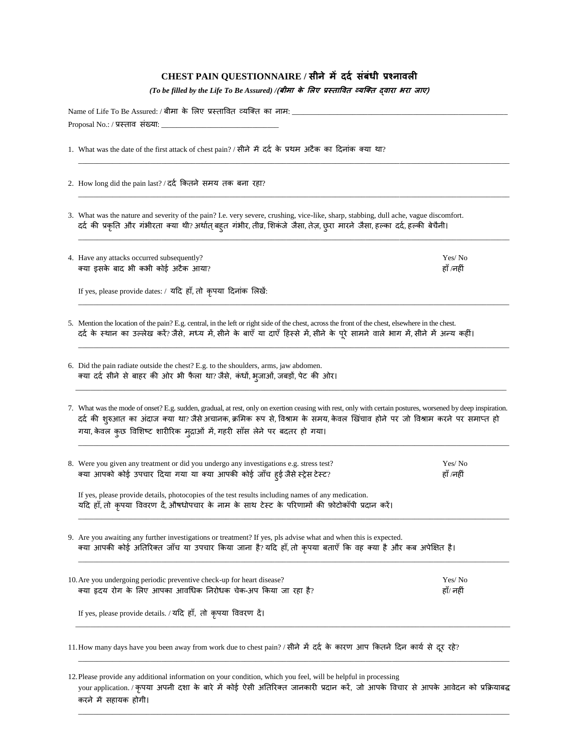## **CHEST PAIN QUESTIONNAIRE / सीने मेंददद संबंधी प्रश्नावली**

*(To be filled by the Life To Be Assured) /***(बीमा के ललए प्रस्ताववत व्यक्तत द्वारा भरा जाए)**

| Name of Life To Be Assured: / बीमा के लिए प्रस्तावित व्यक्ति का नाम: _ |                                                                                                                                                                                                                                                                                                                                                                           |                     |  |
|------------------------------------------------------------------------|---------------------------------------------------------------------------------------------------------------------------------------------------------------------------------------------------------------------------------------------------------------------------------------------------------------------------------------------------------------------------|---------------------|--|
| Proposal No.: / प्रस्ताव संख्या: _________                             |                                                                                                                                                                                                                                                                                                                                                                           |                     |  |
|                                                                        | 1. What was the date of the first attack of chest pain? / सीने में दर्द के प्रथम अटैक का दिनांक क्या था?                                                                                                                                                                                                                                                                  |                     |  |
|                                                                        | 2. How long did the pain last? / दर्द कितने समय तक बना रहा?                                                                                                                                                                                                                                                                                                               |                     |  |
|                                                                        | 3. What was the nature and severity of the pain? I.e. very severe, crushing, vice-like, sharp, stabbing, dull ache, vague discomfort.<br>दर्द की प्रकृति और गंभीरता क्या थी? अर्थात् बहूत गंभीर, तीव्र, शिकंजे जैसा, तेज़, छुरा मारने जैसा, हल्का दर्द, हल्की बेचैनी।                                                                                                     |                     |  |
|                                                                        | 4. Have any attacks occurred subsequently?<br>क्या इसके बाद भी कभी कोई अटैक आया?                                                                                                                                                                                                                                                                                          | Yes/No<br>हाँ /नहीं |  |
|                                                                        | If yes, please provide dates: / यदि हाँ, तो कृपया दिनांक लिखें:                                                                                                                                                                                                                                                                                                           |                     |  |
|                                                                        | 5. Mention the location of the pain? E.g. central, in the left or right side of the chest, across the front of the chest, elsewhere in the chest.<br>दर्द के स्थान का उल्लेख करें? जैसे, मध्य में, सीने के बाएँ या दाएँ हिस्से में, सीने के पूरे सामने वाले भाग में, सीने में अन्य कहीं।                                                                                  |                     |  |
|                                                                        | 6. Did the pain radiate outside the chest? E.g. to the shoulders, arms, jaw abdomen.<br>क्या दर्द सीने से बाहर की ओर भी फैला था? जैसे, कंधों, भुजाओं, जबड़ों, पेट की ओर।                                                                                                                                                                                                  |                     |  |
|                                                                        | 7. What was the mode of onset? E.g. sudden, gradual, at rest, only on exertion ceasing with rest, only with certain postures, worsened by deep inspiration.<br>दर्द की शुरुआत का अंदाज क्या था? जैसे अचानक, क्रमिक रूप से, विश्राम के समय, केवल खिंचाव होने पर जो विश्राम करने पर समाप्त हो<br>गया, केवल कुछ विशिष्ट शारीरिक मुद्राओं में, गहरी साँस लेने पर बदतर हो गया। |                     |  |
|                                                                        | 8. Were you given any treatment or did you undergo any investigations e.g. stress test?<br>क्या आपको कोई उपचार दिया गया या क्या आपकी कोई जाँच हुई जैसे स्ट्रेस टेस्ट?                                                                                                                                                                                                     | Yes/No<br>हाँ /नहीं |  |
|                                                                        | If yes, please provide details, photocopies of the test results including names of any medication.<br>यदि हाँ, तो कृपया विवरण दें, औषधोपचार के नाम के साथ टेस्ट के परिणामों की फ़ोटोकॉपी प्रदान करें।                                                                                                                                                                     |                     |  |
|                                                                        | 9. Are you awaiting any further investigations or treatment? If yes, pls advise what and when this is expected.<br>क्या आपकी कोई अतिरिक्त जाँच या उपचार किया जाना है? यदि हाँ, तो कृपया बताएँ कि वह क्या है और कब अपेक्षित है।                                                                                                                                            |                     |  |
|                                                                        | 10. Are you undergoing periodic preventive check-up for heart disease?<br>क्या हृदय रोग के लिए आपका आवधिक निरोधक चेक-अप किया जा रहा है?                                                                                                                                                                                                                                   | Yes/No<br>हाँ/ नहीं |  |
|                                                                        | If yes, please provide details. / यदि हाँ, तो कृपया विवरण दें।                                                                                                                                                                                                                                                                                                            |                     |  |
|                                                                        | 11. How many days have you been away from work due to chest pain? / सीने में दर्द के कारण आप कितने दिन कार्य से दूर रहे?                                                                                                                                                                                                                                                  |                     |  |

12.Please provide any additional information on your condition, which you feel, will be helpful in processing your application. / कृपया अपनी दशा के बारे में कोई ऐसी अतिरिक्त जानकारी प्रदान करें, जो आपके विचार से आपके आवेदन को प्रक्रियाबद्ध करने में सहायक होगी।

\_\_\_\_\_\_\_\_\_\_\_\_\_\_\_\_\_\_\_\_\_\_\_\_\_\_\_\_\_\_\_\_\_\_\_\_\_\_\_\_\_\_\_\_\_\_\_\_\_\_\_\_\_\_\_\_\_\_\_\_\_\_\_\_\_\_\_\_\_\_\_\_\_\_\_\_\_\_\_\_\_\_\_\_\_\_\_\_\_\_\_\_\_\_\_\_\_\_\_\_\_\_\_\_\_\_\_\_\_\_\_\_\_\_